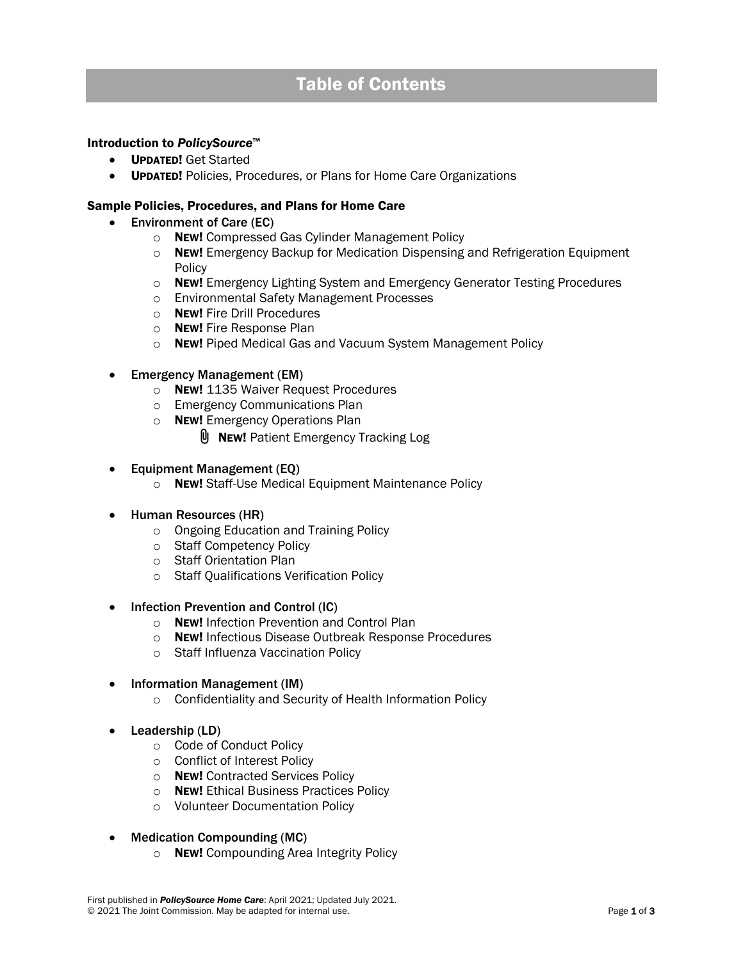### Introduction to *PolicySource*™

- UPDATED! Get Started
- UPDATED! Policies, Procedures, or Plans for Home Care Organizations

#### Sample Policies, Procedures, and Plans for Home Care

- Environment of Care (EC)
	- o NEW! Compressed Gas Cylinder Management Policy
	- o NEW! Emergency Backup for Medication Dispensing and Refrigeration Equipment Policy
	- $\circ$  New! Emergency Lighting System and Emergency Generator Testing Procedures
	- o Environmental Safety Management Processes
	- o NEW! Fire Drill Procedures
	- o NEW! Fire Response Plan
	- o NEW! Piped Medical Gas and Vacuum System Management Policy
- Emergency Management (EM)
	- o NEW! 1135 Waiver Request Procedures
	- o Emergency Communications Plan
	- o **NEW!** Emergency Operations Plan
		- **U** NEW! Patient Emergency Tracking Log
- Equipment Management (EQ)
	- o NEW! Staff-Use Medical Equipment Maintenance Policy
- Human Resources (HR)
	- o Ongoing Education and Training Policy
	- o Staff Competency Policy
	- o Staff Orientation Plan
	- o Staff Qualifications Verification Policy
- Infection Prevention and Control (IC)
	- o **NEW!** Infection Prevention and Control Plan
	- o NEW! Infectious Disease Outbreak Response Procedures
	- o Staff Influenza Vaccination Policy
- Information Management (IM)
	- o Confidentiality and Security of Health Information Policy
- Leadership (LD)
	- o Code of Conduct Policy
	- o Conflict of Interest Policy
	- o **NEW!** Contracted Services Policy
	- o NEW! Ethical Business Practices Policy
	- o Volunteer Documentation Policy
- Medication Compounding (MC)
	- o **NEW!** Compounding Area Integrity Policy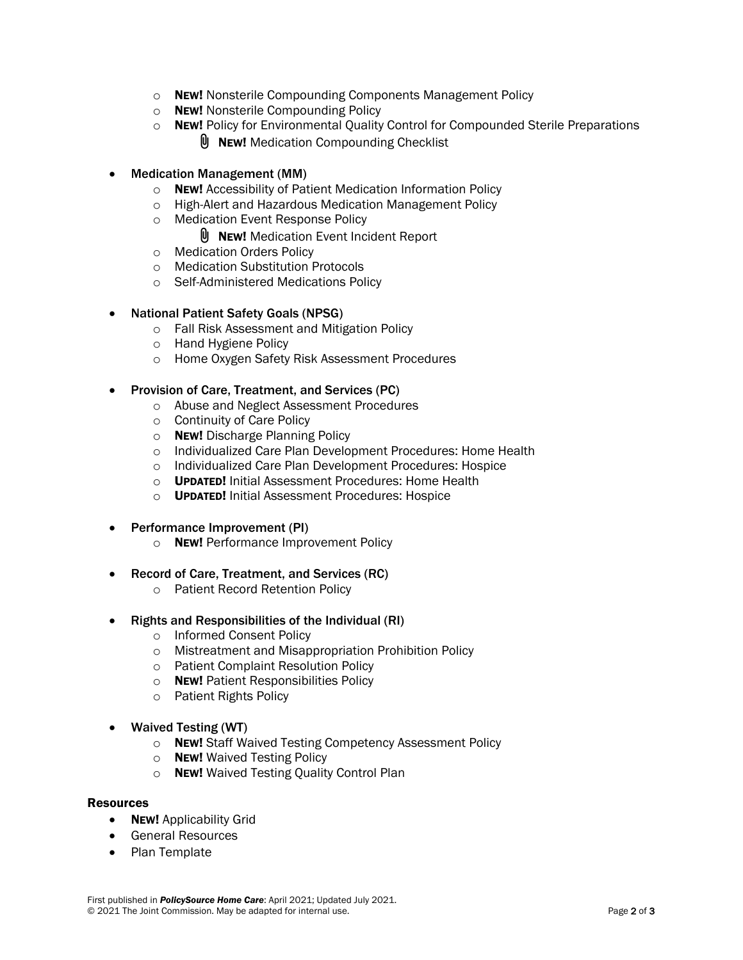- o NEW! Nonsterile Compounding Components Management Policy
- o NEW! Nonsterile Compounding Policy
- o NEw! Policy for Environmental Quality Control for Compounded Sterile Preparations
	- $\emptyset$  New! Medication Compounding Checklist
- Medication Management (MM)
	- o NEW! Accessibility of Patient Medication Information Policy
	- o High-Alert and Hazardous Medication Management Policy
	- o Medication Event Response Policy
		- **U** NEW! Medication Event Incident Report
	- o Medication Orders Policy
	- o Medication Substitution Protocols
	- o Self-Administered Medications Policy

# • National Patient Safety Goals (NPSG)

- o Fall Risk Assessment and Mitigation Policy
- o Hand Hygiene Policy
- o Home Oxygen Safety Risk Assessment Procedures

# • Provision of Care, Treatment, and Services (PC)

- o Abuse and Neglect Assessment Procedures
- o Continuity of Care Policy
- o NEW! Discharge Planning Policy
- o Individualized Care Plan Development Procedures: Home Health
- o Individualized Care Plan Development Procedures: Hospice
- o UPDATED! Initial Assessment Procedures: Home Health
- o UPDATED! Initial Assessment Procedures: Hospice
- Performance Improvement (PI)
	- o **NEW!** Performance Improvement Policy
- Record of Care, Treatment, and Services (RC)
	- o Patient Record Retention Policy
- Rights and Responsibilities of the Individual (RI)
	- o Informed Consent Policy
	- o Mistreatment and Misappropriation Prohibition Policy
	- o Patient Complaint Resolution Policy
	- o NEW! Patient Responsibilities Policy
	- o Patient Rights Policy
- Waived Testing (WT)
	- o **NEW!** Staff Waived Testing Competency Assessment Policy
	- o NEW! Waived Testing Policy
	- o **NEW!** Waived Testing Quality Control Plan

### Resources

- **NEW!** Applicability Grid
- General Resources
- Plan Template